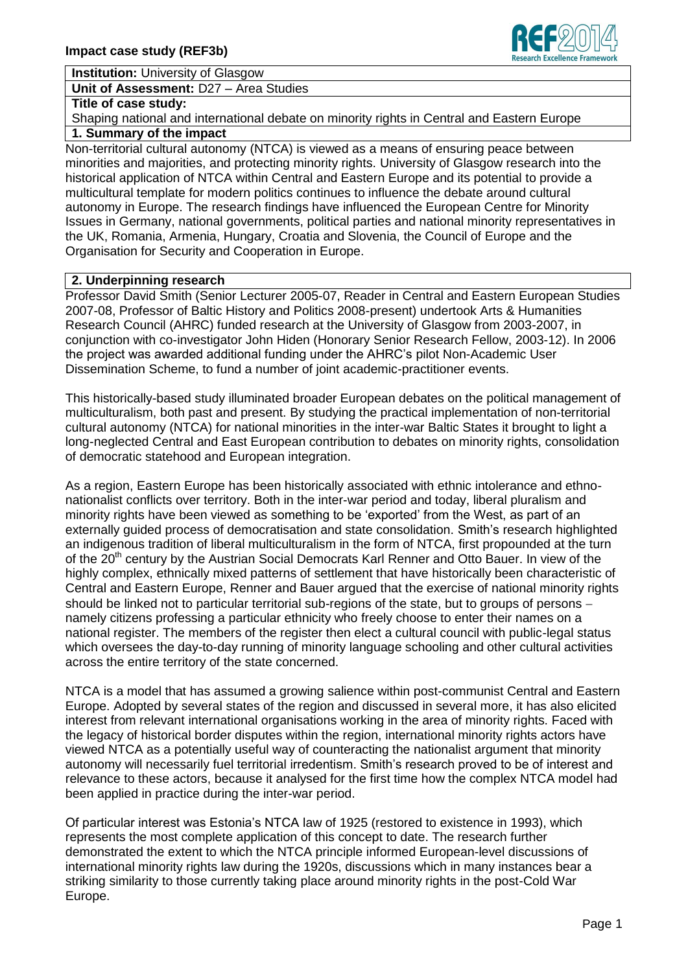**Institution:** University of Glasgow

**Unit of Assessment:** D27 – Area Studies

#### **Title of case study:**

Shaping national and international debate on minority rights in Central and Eastern Europe

# **1. Summary of the impact**

Non-territorial cultural autonomy (NTCA) is viewed as a means of ensuring peace between minorities and majorities, and protecting minority rights. University of Glasgow research into the historical application of NTCA within Central and Eastern Europe and its potential to provide a multicultural template for modern politics continues to influence the debate around cultural autonomy in Europe. The research findings have influenced the European Centre for Minority Issues in Germany, national governments, political parties and national minority representatives in the UK, Romania, Armenia, Hungary, Croatia and Slovenia, the Council of Europe and the Organisation for Security and Cooperation in Europe.

## **2. Underpinning research**

Professor David Smith (Senior Lecturer 2005-07, Reader in Central and Eastern European Studies 2007-08, Professor of Baltic History and Politics 2008-present) undertook Arts & Humanities Research Council (AHRC) funded research at the University of Glasgow from 2003-2007, in conjunction with co-investigator John Hiden (Honorary Senior Research Fellow, 2003-12). In 2006 the project was awarded additional funding under the AHRC's pilot Non-Academic User Dissemination Scheme, to fund a number of joint academic-practitioner events.

This historically-based study illuminated broader European debates on the political management of multiculturalism, both past and present. By studying the practical implementation of non-territorial cultural autonomy (NTCA) for national minorities in the inter-war Baltic States it brought to light a long-neglected Central and East European contribution to debates on minority rights, consolidation of democratic statehood and European integration.

As a region, Eastern Europe has been historically associated with ethnic intolerance and ethnonationalist conflicts over territory. Both in the inter-war period and today, liberal pluralism and minority rights have been viewed as something to be 'exported' from the West, as part of an externally guided process of democratisation and state consolidation. Smith's research highlighted an indigenous tradition of liberal multiculturalism in the form of NTCA, first propounded at the turn of the 20<sup>th</sup> century by the Austrian Social Democrats Karl Renner and Otto Bauer. In view of the highly complex, ethnically mixed patterns of settlement that have historically been characteristic of Central and Eastern Europe, Renner and Bauer argued that the exercise of national minority rights should be linked not to particular territorial sub-regions of the state, but to groups of persons – namely citizens professing a particular ethnicity who freely choose to enter their names on a national register. The members of the register then elect a cultural council with public-legal status which oversees the day-to-day running of minority language schooling and other cultural activities across the entire territory of the state concerned.

NTCA is a model that has assumed a growing salience within post-communist Central and Eastern Europe. Adopted by several states of the region and discussed in several more, it has also elicited interest from relevant international organisations working in the area of minority rights. Faced with the legacy of historical border disputes within the region, international minority rights actors have viewed NTCA as a potentially useful way of counteracting the nationalist argument that minority autonomy will necessarily fuel territorial irredentism. Smith's research proved to be of interest and relevance to these actors, because it analysed for the first time how the complex NTCA model had been applied in practice during the inter-war period.

Of particular interest was Estonia's NTCA law of 1925 (restored to existence in 1993), which represents the most complete application of this concept to date. The research further demonstrated the extent to which the NTCA principle informed European-level discussions of international minority rights law during the 1920s, discussions which in many instances bear a striking similarity to those currently taking place around minority rights in the post-Cold War Europe.

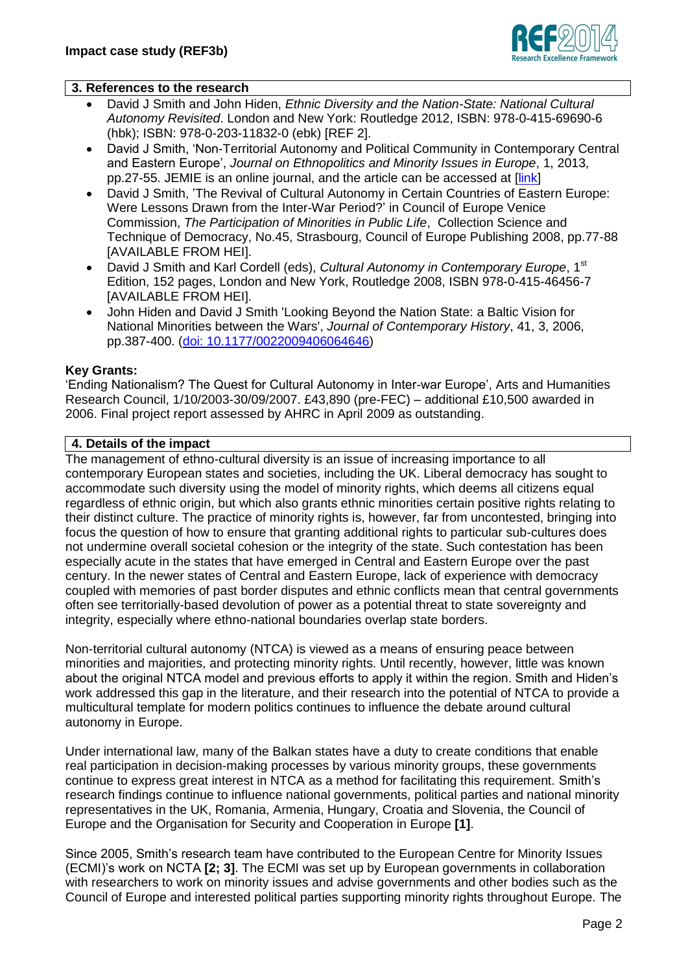

### **3. References to the research**

- David J Smith and John Hiden, *Ethnic Diversity and the Nation-State: National Cultural Autonomy Revisited*. London and New York: Routledge 2012, ISBN: 978-0-415-69690-6 (hbk); ISBN: 978-0-203-11832-0 (ebk) [REF 2].
- David J Smith, 'Non-Territorial Autonomy and Political Community in Contemporary Central and Eastern Europe', *Journal on Ethnopolitics and Minority Issues in Europe*, 1, 2013, pp.27-55. JEMIE is an online journal, and the article can be accessed at [\[link\]](http://www.ecmi.de/fileadmin/downloads/publications/JEMIE/2013/Smith.pdf)
- David J Smith, 'The Revival of Cultural Autonomy in Certain Countries of Eastern Europe: Were Lessons Drawn from the Inter-War Period?' in Council of Europe Venice Commission, *The Participation of Minorities in Public Life*, Collection Science and Technique of Democracy, No.45, Strasbourg, Council of Europe Publishing 2008, pp.77-88 [AVAILABLE FROM HEI].
- David J Smith and Karl Cordell (eds), *Cultural Autonomy in Contemporary Europe*, 1<sup>st</sup> Edition, 152 pages, London and New York, Routledge 2008, ISBN 978-0-415-46456-7 [AVAILABLE FROM HEI].
- John Hiden and David J Smith 'Looking Beyond the Nation State: a Baltic Vision for National Minorities between the Wars', *Journal of Contemporary History*, 41, 3, 2006, pp.387-400. [\(doi: 10.1177/0022009406064646\)](http://dx.doi.org/10.1177/0022009406064646)

### **Key Grants:**

'Ending Nationalism? The Quest for Cultural Autonomy in Inter-war Europe', Arts and Humanities Research Council, 1/10/2003-30/09/2007. £43,890 (pre-FEC) – additional £10,500 awarded in 2006. Final project report assessed by AHRC in April 2009 as outstanding.

#### **4. Details of the impact**

The management of ethno-cultural diversity is an issue of increasing importance to all contemporary European states and societies, including the UK. Liberal democracy has sought to accommodate such diversity using the model of minority rights, which deems all citizens equal regardless of ethnic origin, but which also grants ethnic minorities certain positive rights relating to their distinct culture. The practice of minority rights is, however, far from uncontested, bringing into focus the question of how to ensure that granting additional rights to particular sub-cultures does not undermine overall societal cohesion or the integrity of the state. Such contestation has been especially acute in the states that have emerged in Central and Eastern Europe over the past century. In the newer states of Central and Eastern Europe, lack of experience with democracy coupled with memories of past border disputes and ethnic conflicts mean that central governments often see territorially-based devolution of power as a potential threat to state sovereignty and integrity, especially where ethno-national boundaries overlap state borders.

Non-territorial cultural autonomy (NTCA) is viewed as a means of ensuring peace between minorities and majorities, and protecting minority rights. Until recently, however, little was known about the original NTCA model and previous efforts to apply it within the region. Smith and Hiden's work addressed this gap in the literature, and their research into the potential of NTCA to provide a multicultural template for modern politics continues to influence the debate around cultural autonomy in Europe.

Under international law, many of the Balkan states have a duty to create conditions that enable real participation in decision-making processes by various minority groups, these governments continue to express great interest in NTCA as a method for facilitating this requirement. Smith's research findings continue to influence national governments, political parties and national minority representatives in the UK, Romania, Armenia, Hungary, Croatia and Slovenia, the Council of Europe and the Organisation for Security and Cooperation in Europe **[1]**.

Since 2005, Smith's research team have contributed to the European Centre for Minority Issues (ECMI)'s work on NCTA **[2; 3]**. The ECMI was set up by European governments in collaboration with researchers to work on minority issues and advise governments and other bodies such as the Council of Europe and interested political parties supporting minority rights throughout Europe. The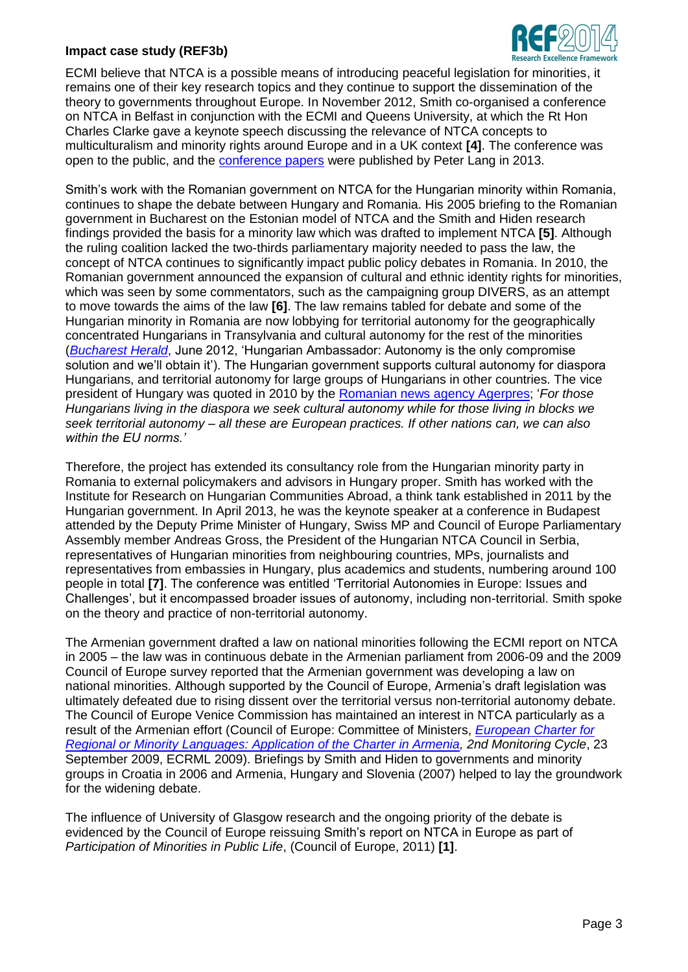### **Impact case study (REF3b)**



ECMI believe that NTCA is a possible means of introducing peaceful legislation for minorities, it remains one of their key research topics and they continue to support the dissemination of the theory to governments throughout Europe. In November 2012, Smith co-organised a conference on NTCA in Belfast in conjunction with the ECMI and Queens University, at which the Rt Hon Charles Clarke gave a keynote speech discussing the relevance of NTCA concepts to multiculturalism and minority rights around Europe and in a UK context **[4]**. The conference was open to the public, and the [conference papers](http://www.peterlang.com/index.cfm?event=cmp.ccc.seitenstruktur.detailseiten&seitentyp=produkt&pk=76566) were published by Peter Lang in 2013.

Smith's work with the Romanian government on NTCA for the Hungarian minority within Romania, continues to shape the debate between Hungary and Romania. His 2005 briefing to the Romanian government in Bucharest on the Estonian model of NTCA and the Smith and Hiden research findings provided the basis for a minority law which was drafted to implement NTCA **[5]**. Although the ruling coalition lacked the two-thirds parliamentary majority needed to pass the law, the concept of NTCA continues to significantly impact public policy debates in Romania. In 2010, the Romanian government announced the expansion of cultural and ethnic identity rights for minorities, which was seen by some commentators, such as the campaigning group DIVERS, as an attempt to move towards the aims of the law **[6]**. The law remains tabled for debate and some of the Hungarian minority in Romania are now lobbying for territorial autonomy for the geographically concentrated Hungarians in Transylvania and cultural autonomy for the rest of the minorities (*[Bucharest Herald](http://www.bucharestherald.ro/politics/34-politics/34485-hungarian-ambassador-autonomy-is-the-only-compromise-solution-and-well-obtain-it?tmpl=component&print=1&page=)*, June 2012, 'Hungarian Ambassador: Autonomy is the only compromise solution and we'll obtain it'). The Hungarian government supports cultural autonomy for diaspora Hungarians, and territorial autonomy for large groups of Hungarians in other countries. The vice president of Hungary was quoted in 2010 by the [Romanian news agency Agerpres;](http://english.hotnews.ro/stiri-regional_europe-7623165-hungarian-vice-budapest-wishes-autonomy-for-hungarians-living-abroad-within-norms.htm) '*For those Hungarians living in the diaspora we seek cultural autonomy while for those living in blocks we seek territorial autonomy – all these are European practices. If other nations can, we can also within the EU norms.'* 

Therefore, the project has extended its consultancy role from the Hungarian minority party in Romania to external policymakers and advisors in Hungary proper. Smith has worked with the Institute for Research on Hungarian Communities Abroad, a think tank established in 2011 by the Hungarian government. In April 2013, he was the keynote speaker at a conference in Budapest attended by the Deputy Prime Minister of Hungary, Swiss MP and Council of Europe Parliamentary Assembly member Andreas Gross, the President of the Hungarian NTCA Council in Serbia, representatives of Hungarian minorities from neighbouring countries, MPs, journalists and representatives from embassies in Hungary, plus academics and students, numbering around 100 people in total **[7]**. The conference was entitled 'Territorial Autonomies in Europe: Issues and Challenges', but it encompassed broader issues of autonomy, including non-territorial. Smith spoke on the theory and practice of non-territorial autonomy.

The Armenian government drafted a law on national minorities following the ECMI report on NTCA in 2005 – the law was in continuous debate in the Armenian parliament from 2006-09 and the 2009 Council of Europe survey reported that the Armenian government was developing a law on national minorities. Although supported by the Council of Europe, Armenia's draft legislation was ultimately defeated due to rising dissent over the territorial versus non-territorial autonomy debate. The Council of Europe Venice Commission has maintained an interest in NTCA particularly as a result of the Armenian effort (Council of Europe: Committee of Ministers, *[European Charter for](http://www.unhcr.org/refworld/docid/4abb464f0.html)  [Regional or Minority Languages: Application of the Charter in Armenia,](http://www.unhcr.org/refworld/docid/4abb464f0.html) 2nd Monitoring Cycle*, 23 September 2009, ECRML 2009). Briefings by Smith and Hiden to governments and minority groups in Croatia in 2006 and Armenia, Hungary and Slovenia (2007) helped to lay the groundwork for the widening debate.

The influence of University of Glasgow research and the ongoing priority of the debate is evidenced by the Council of Europe reissuing Smith's report on NTCA in Europe as part of *Participation of Minorities in Public Life*, (Council of Europe, 2011) **[1]**.